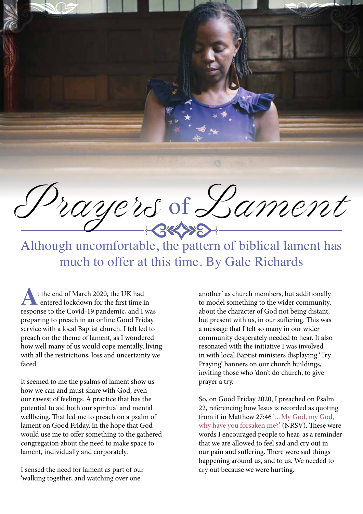Prayers of Lament

Although uncomfortable, the pattern of biblical lament has much to offer at this time. By Gale Richards

t the end of March 2020, the UK had entered lockdown for the first time in **A** t the end of March 2020, the UK had<br>entered lockdown for the first time in<br>response to the Covid-19 pandemic, and I was preparing to preach in an online Good Friday service with a local Baptist church. I felt led to preach on the theme of lament, as I wondered how well many of us would cope mentally, living with all the restrictions, loss and uncertainty we faced.

It seemed to me the psalms of lament show us how we can and must share with God, even our rawest of feelings. A practice that has the potential to aid both our spiritual and mental wellbeing. That led me to preach on a psalm of lament on Good Friday, in the hope that God would use me to offer something to the gathered congregation about the need to make space to lament, individually and corporately.

I sensed the need for lament as part of our 'walking together, and watching over one

another' as church members, but additionally to model something to the wider community, about the character of God not being distant, but present with us, in our suffering. This was a message that I felt so many in our wider community desperately needed to hear. It also resonated with the initiative I was involved in with local Baptist ministers displaying 'Try Praying' banners on our church buildings, inviting those who 'don't do church', to give prayer a try.

So, on Good Friday 2020, I preached on Psalm 22, referencing how Jesus is recorded as quoting from it in Matthew 27:46 '... My God, my God, why have you forsaken me?' (NRSV). These were words I encouraged people to hear, as a reminder that we are allowed to feel sad and cry out in our pain and suffering. There were sad things happening around us, and to us. We needed to cry out because we were hurting.